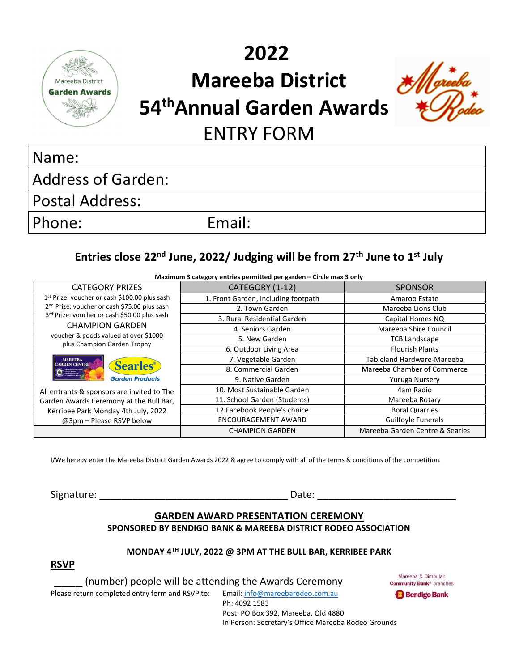

# 2022 Mareeba District 54<sup>th</sup>Annual Garden Awards ENTRY FORM



# Name:

Address of Garden:

Postal Address:

Phone: Email:

## Entries close 22<sup>nd</sup> June, 2022/ Judging will be from 27<sup>th</sup> June to 1<sup>st</sup> July

| Maximum 3 category entries permitted per garden - Circle max 3 only                                                                                                                                                                                                     |                                     |                                 |
|-------------------------------------------------------------------------------------------------------------------------------------------------------------------------------------------------------------------------------------------------------------------------|-------------------------------------|---------------------------------|
| <b>CATEGORY PRIZES</b>                                                                                                                                                                                                                                                  | CATEGORY (1-12)                     | <b>SPONSOR</b>                  |
| 1 <sup>st</sup> Prize: voucher or cash \$100.00 plus sash<br>2 <sup>nd</sup> Prize: voucher or cash \$75.00 plus sash<br>3rd Prize: voucher or cash \$50.00 plus sash<br><b>CHAMPION GARDEN</b><br>voucher & goods valued at over \$1000<br>plus Champion Garden Trophy | 1. Front Garden, including footpath | Amaroo Estate                   |
|                                                                                                                                                                                                                                                                         | 2. Town Garden                      | Mareeba Lions Club              |
|                                                                                                                                                                                                                                                                         | 3. Rural Residential Garden         | Capital Homes NQ                |
|                                                                                                                                                                                                                                                                         | 4. Seniors Garden                   | Mareeba Shire Council           |
|                                                                                                                                                                                                                                                                         | 5. New Garden                       | <b>TCB Landscape</b>            |
|                                                                                                                                                                                                                                                                         | 6. Outdoor Living Area              | <b>Flourish Plants</b>          |
| <b>MAREEBA</b><br><b>Searles</b> ®<br><b>GARDEN CENTRE</b><br><b>Garden Products</b>                                                                                                                                                                                    | 7. Vegetable Garden                 | Tableland Hardware-Mareeba      |
|                                                                                                                                                                                                                                                                         | 8. Commercial Garden                | Mareeba Chamber of Commerce     |
|                                                                                                                                                                                                                                                                         | 9. Native Garden                    | Yuruga Nursery                  |
| All entrants & sponsors are invited to The<br>Garden Awards Ceremony at the Bull Bar,                                                                                                                                                                                   | 10. Most Sustainable Garden         | 4am Radio                       |
|                                                                                                                                                                                                                                                                         | 11. School Garden (Students)        | Mareeba Rotary                  |
| Kerribee Park Monday 4th July, 2022                                                                                                                                                                                                                                     | 12. Facebook People's choice        | <b>Boral Quarries</b>           |
| @3pm - Please RSVP below                                                                                                                                                                                                                                                | <b>ENCOURAGEMENT AWARD</b>          | Guilfoyle Funerals              |
|                                                                                                                                                                                                                                                                         | <b>CHAMPION GARDEN</b>              | Mareeba Garden Centre & Searles |

I/We hereby enter the Mareeba District Garden Awards 2022 & agree to comply with all of the terms & conditions of the competition.

Signature: The contract of the contract of the contract of the contract of the contract of the contract of the contract of the contract of the contract of the contract of the contract of the contract of the contract of the

#### GARDEN AWARD PRESENTATION CEREMONY SPONSORED BY BENDIGO BANK & MAREEBA DISTRICT RODEO ASSOCIATION

#### MONDAY 4TH JULY, 2022 @ 3PM AT THE BULL BAR, KERRIBEE PARK

RSVP

(number) people will be attending the Awards Ceremony

Mareeba & Dimbulah **Community Bank® branches** 

Please return completed entry form and RSVP to: Email: info@mareebarodeo.com.au

Ph: 4092 1583

**Bendigo Bank** 

 Post: PO Box 392, Mareeba, Qld 4880 In Person: Secretary's Office Mareeba Rodeo Grounds